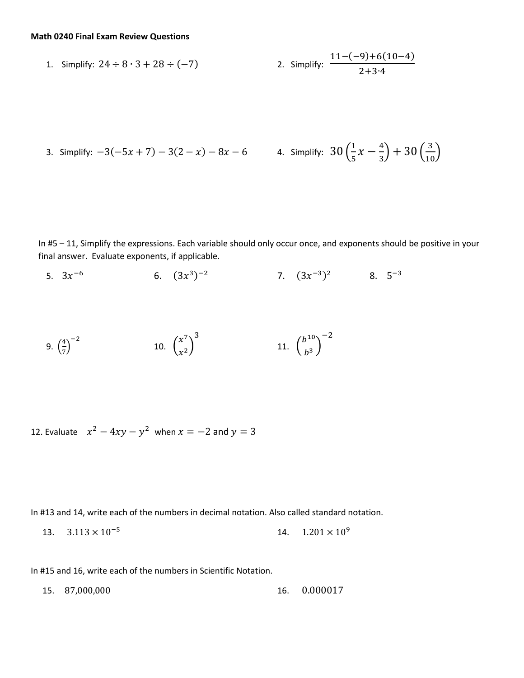## **Math 0240 Final Exam Review Questions**

1. Simplify: 
$$
24 \div 8 \cdot 3 + 28 \div (-7)
$$
  
2. Simplify:  $\frac{11 - (-9) + 6(10 - 4)}{2 + 3 \cdot 4}$ 

3. Simplify: 
$$
-3(-5x + 7) - 3(2 - x) - 8x - 6
$$
 4. Simplify:  $30(\frac{1}{5}x - \frac{4}{3}) + 30(\frac{3}{10})$ 

In #5 – 11, Simplify the expressions. Each variable should only occur once, and exponents should be positive in your final answer. Evaluate exponents, if applicable.

5.  $3x^{-6}$  $-6$  6.  $(3x^3)^{-2}$  7.  $(3x^{-3})^2$  8.  $5^{-3}$ 

9. 
$$
\left(\frac{4}{7}\right)^{-2}
$$
 10.  $\left(\frac{x^7}{x^2}\right)^3$  11.  $\left(\frac{b^{10}}{b^3}\right)^{-2}$ 

12. Evaluate  $x^2 - 4xy - y^2$  when  $x = -2$  and  $y = 3$ 

In #13 and 14, write each of the numbers in decimal notation. Also called standard notation.

13.  $3.113 \times 10^{-5}$ 14.  $1.201 \times 10^9$ 

In #15 and 16, write each of the numbers in Scientific Notation.

15. 87,000,000 16. 0.000017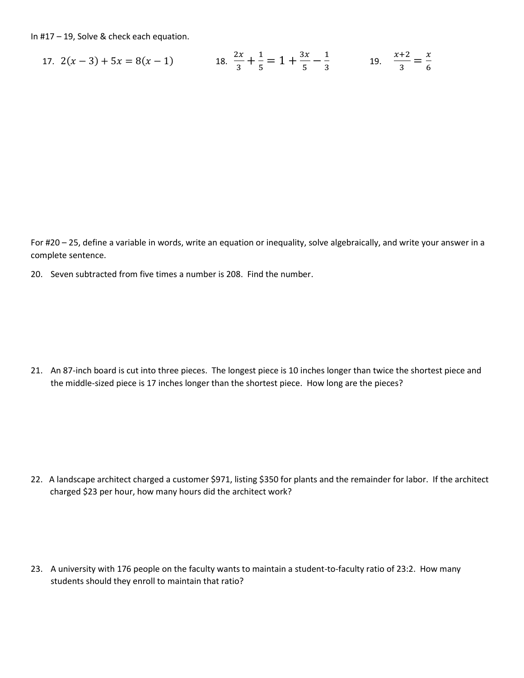In #17 – 19, Solve & check each equation.

17. 
$$
2(x-3) + 5x = 8(x-1)
$$
 18.  $\frac{2x}{3} + \frac{1}{5} = 1 + \frac{3x}{5} - \frac{1}{3}$  19.  $\frac{x+2}{3} = \frac{x}{6}$ 

For #20 – 25, define a variable in words, write an equation or inequality, solve algebraically, and write your answer in a complete sentence.

20. Seven subtracted from five times a number is 208. Find the number.

21. An 87-inch board is cut into three pieces. The longest piece is 10 inches longer than twice the shortest piece and the middle-sized piece is 17 inches longer than the shortest piece. How long are the pieces?

- 22. A landscape architect charged a customer \$971, listing \$350 for plants and the remainder for labor. If the architect charged \$23 per hour, how many hours did the architect work?
- 23. A university with 176 people on the faculty wants to maintain a student-to-faculty ratio of 23:2. How many students should they enroll to maintain that ratio?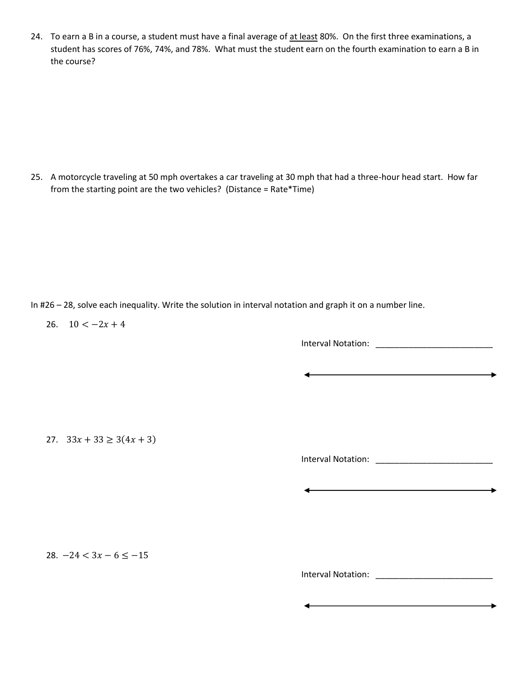24. To earn a B in a course, a student must have a final average of at least 80%. On the first three examinations, a student has scores of 76%, 74%, and 78%. What must the student earn on the fourth examination to earn a B in the course?

25. A motorcycle traveling at 50 mph overtakes a car traveling at 30 mph that had a three-hour head start. How far from the starting point are the two vehicles? (Distance = Rate\*Time)

In #26 – 28, solve each inequality. Write the solution in interval notation and graph it on a number line.

26.  $10 < -2x + 4$ 

Interval Notation: \_\_\_\_\_\_\_\_\_\_\_\_\_\_\_\_\_\_\_\_\_\_\_\_\_

 $\overline{\phantom{0}}$ 

27.  $33x + 33 \ge 3(4x + 3)$ 

Interval Notation: \_\_\_\_\_\_\_\_\_\_\_\_\_\_\_\_\_\_\_\_\_\_\_\_\_

<u> Andreas Andreas Andreas Andreas Andreas Andreas Andreas Andreas Andreas Andreas Andreas Andreas Andreas Andr</u>

28.  $-24 < 3x - 6 \le -15$ 

Interval Notation: \_\_\_\_\_\_\_\_\_\_\_\_\_\_\_\_\_\_\_\_\_\_\_\_\_

÷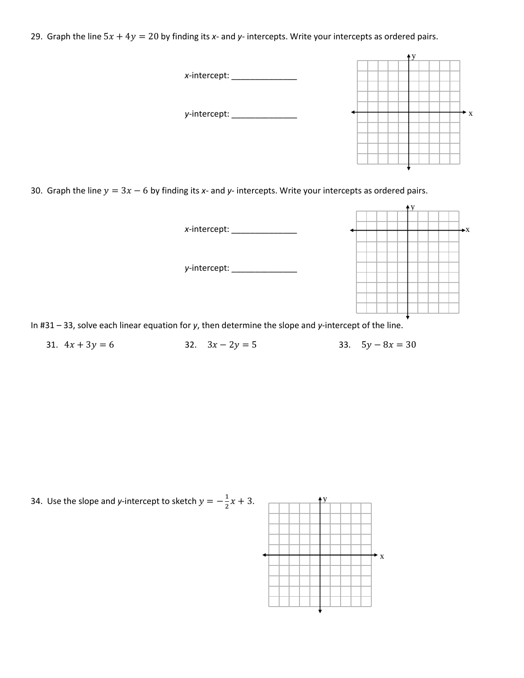29. Graph the line  $5x + 4y = 20$  by finding its x- and y- intercepts. Write your intercepts as ordered pairs.



30. Graph the line  $y = 3x - 6$  by finding its x- and y- intercepts. Write your intercepts as ordered pairs.



31.  $4x + 3y = 6$  32.  $3x - 2y = 5$  33.  $5y - 8x = 30$ 

34. Use the slope and *y*-intercept to sketch  $y = -\frac{1}{3}$  $\frac{1}{2}x + 3$ .

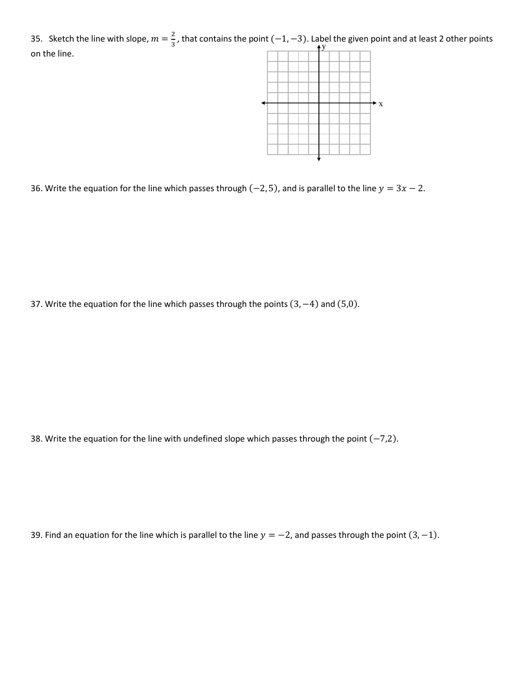35. Sketch the line with slope,  $m = \frac{2}{3}$  $\frac{2}{3}$ , that contains the point (-1, -3). Label the given point and at least 2 other points  $\overrightarrow{y}$ on the line.



36. Write the equation for the line which passes through (-2, 5), and is parallel to the line  $y = 3x - 2$ .

37. Write the equation for the line which passes through the points (3, −4) and (5,0).

38. Write the equation for the line with undefined slope which passes through the point  $(-7,2)$ .

39. Find an equation for the line which is parallel to the line  $y = -2$ , and passes through the point  $(3, -1)$ .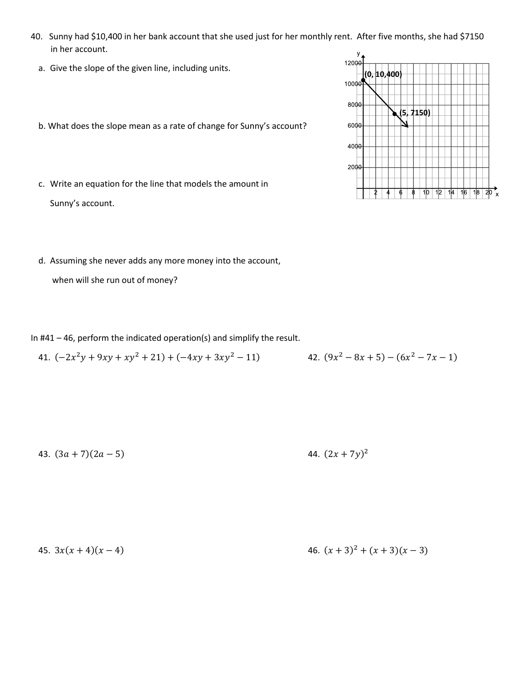- 40. Sunny had \$10,400 in her bank account that she used just for her monthly rent. After five months, she had \$7150 in her account.
	- a. Give the slope of the given line, including units.
	- b. What does the slope mean as a rate of change for Sunny's account?
	- c. Write an equation for the line that models the amount in Sunny's account.
	- d. Assuming she never adds any more money into the account,

when will she run out of money?

In #41 – 46, perform the indicated operation(s) and simplify the result.

41. 
$$
(-2x^2y + 9xy + xy^2 + 21) + (-4xy + 3xy^2 - 11)
$$
  
42.  $(9x^2 - 8x + 5) - (6x^2 - 7x - 1)$ 

43.  $(3a + 7)(2a - 5)$ 

## 44.  $(2x + 7y)^2$

45. 
$$
3x(x+4)(x-4)
$$
  
46.  $(x+3)^2 + (x+3)(x-3)$ 

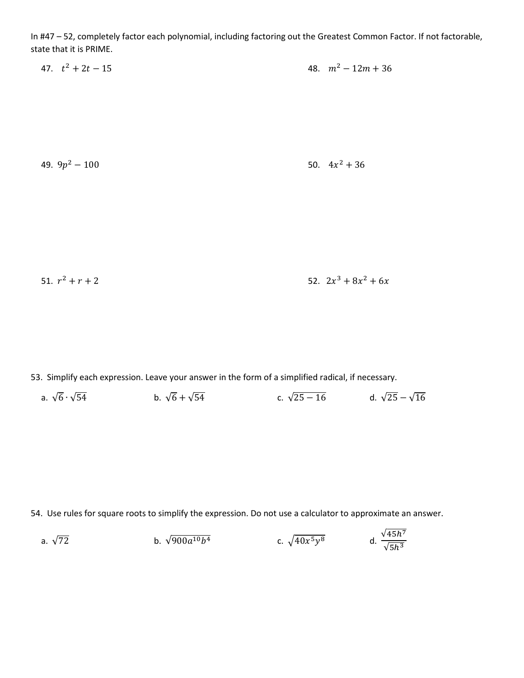In #47 – 52, completely factor each polynomial, including factoring out the Greatest Common Factor. If not factorable, state that it is PRIME.

| 47. $t^2 + 2t - 15$ |  | 48. $m^2 - 12m + 36$ |
|---------------------|--|----------------------|
|---------------------|--|----------------------|

49.  $9p^2 - 100$  50. 4x 50.  $4x^2 + 36$ 

51.  $r^2 + r + 2$  52. 2x  $x^3 + 8x^2 + 6x$ 

53. Simplify each expression. Leave your answer in the form of a simplified radical, if necessary.

a.  $\sqrt{6} \cdot \sqrt{54}$  b.  $\sqrt{6} + \sqrt{54}$  c.  $\sqrt{25 - 16}$  d.  $\sqrt{25} - \sqrt{16}$ 

54. Use rules for square roots to simplify the expression. Do not use a calculator to approximate an answer.

a. 
$$
\sqrt{72}
$$
 b.  $\sqrt{900a^{10}b^4}$  c.  $\sqrt{40x^5y^8}$  d.  $\frac{\sqrt{45h^7}}{\sqrt{5h^3}}$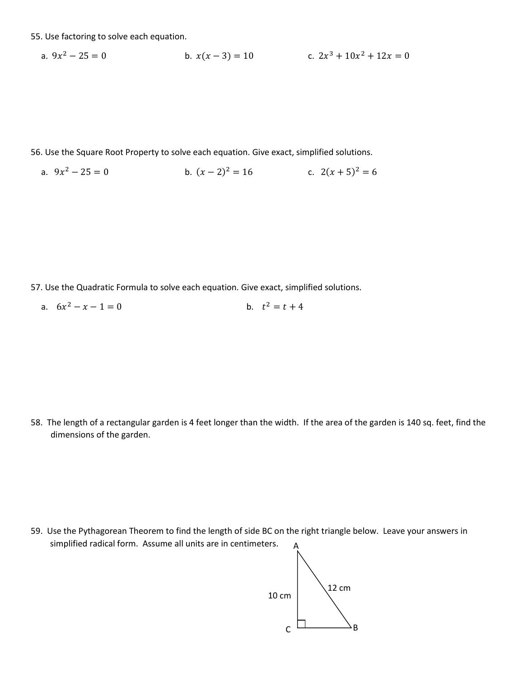55. Use factoring to solve each equation.

a. 
$$
9x^2 - 25 = 0
$$
  
b.  $x(x - 3) = 10$   
c.  $2x^3 + 10x^2 + 12x = 0$ 

56. Use the Square Root Property to solve each equation. Give exact, simplified solutions.

a.  $9x^2 - 25 = 0$ <br>b.  $(x - 2)^2 = 16$ <br>c.  $2(x + 5)^2 = 6$ 

57. Use the Quadratic Formula to solve each equation. Give exact, simplified solutions.

a.  $6x^2 - x - 1 = 0$  $2^2 - x - 1 = 0$  b.  $t^2 = t + 4$ 

58. The length of a rectangular garden is 4 feet longer than the width. If the area of the garden is 140 sq. feet, find the dimensions of the garden.

59. Use the Pythagorean Theorem to find the length of side BC on the right triangle below. Leave your answers in simplified radical form. Assume all units are in centimeters. A

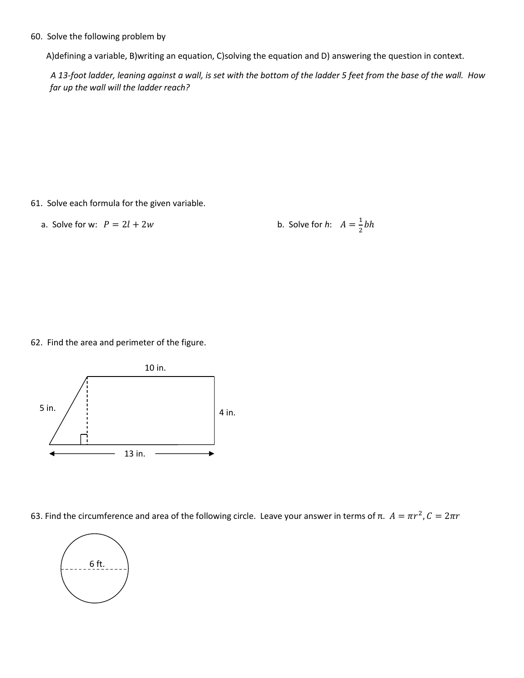60. Solve the following problem by

A)defining a variable, B)writing an equation, C)solving the equation and D) answering the question in context.

*A 13-foot ladder, leaning against a wall, is set with the bottom of the ladder 5 feet from the base of the wall. How far up the wall will the ladder reach?* 

61. Solve each formula for the given variable.

a. Solve for w:  $P = 2l + 2w$ 

1  $\frac{1}{2}bh$ 

62. Find the area and perimeter of the figure.



63. Find the circumference and area of the following circle. Leave your answer in terms of π.  $A = \pi r^2$ ,  $C = 2\pi r$ 

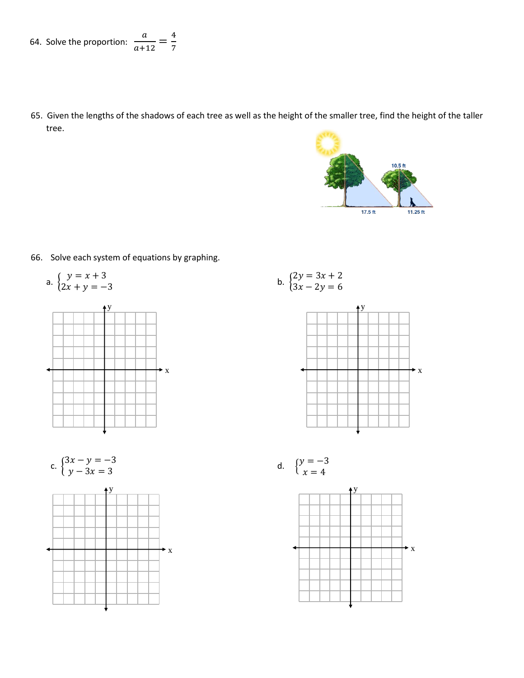65. Given the lengths of the shadows of each tree as well as the height of the smaller tree, find the height of the taller tree.



66. Solve each system of equations by graphing.

a. 
$$
\begin{cases} y = x + 3 \\ 2x + y = -3 \end{cases}
$$



b. 
$$
\begin{cases} 2y = 3x + 2 \\ 3x - 2y = 6 \end{cases}
$$







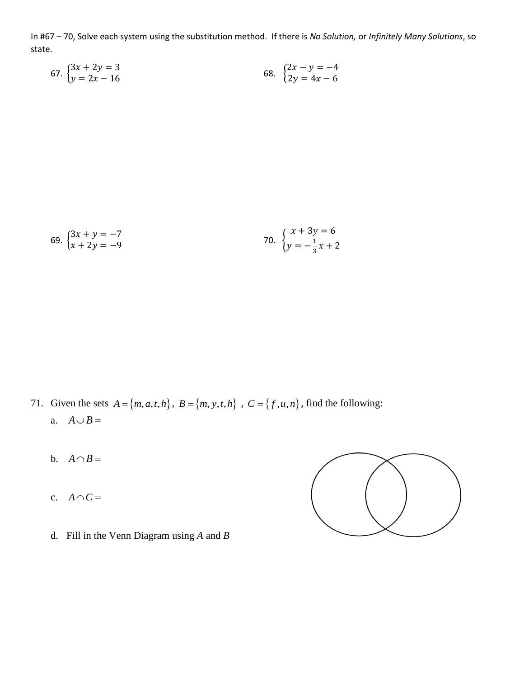In #67 – 70, Solve each system using the substitution method. If there is *No Solution,* or *Infinitely Many Solutions*, so state.

67. 
$$
\begin{cases} 3x + 2y = 3 \\ y = 2x - 16 \end{cases}
$$
68. 
$$
\begin{cases} 2x - y = -4 \\ 2y = 4x - 6 \end{cases}
$$

69. 
$$
\begin{cases} 3x + y = -7 \\ x + 2y = -9 \end{cases}
$$
70. 
$$
\begin{cases} x + 3y = 6 \\ y = -\frac{1}{3}x + 2 \end{cases}
$$

- 71. Given the sets  $A = \{m, a, t, h\}$ ,  $B = \{m, y, t, h\}$ ,  $C = \{f, u, n\}$ , find the following: a.  $A \cup B =$ 
	- b.  $A \cap B =$
	- c.  $A \cap C =$



d. Fill in the Venn Diagram using *A* and *B*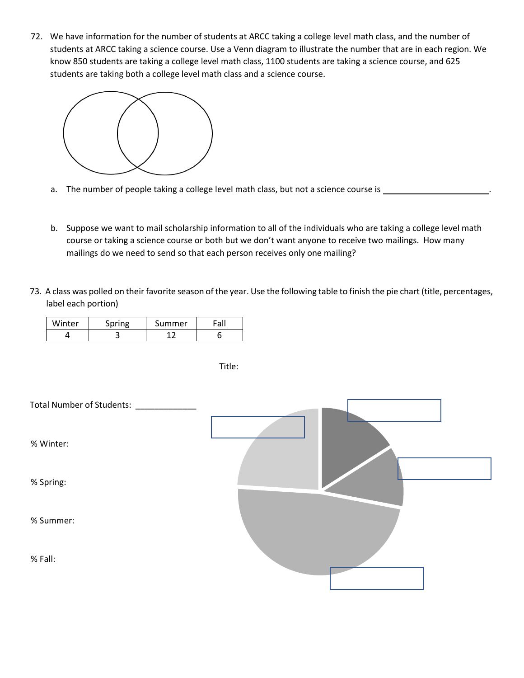72. We have information for the number of students at ARCC taking a college level math class, and the number of students at ARCC taking a science course. Use a Venn diagram to illustrate the number that are in each region. We know 850 students are taking a college level math class, 1100 students are taking a science course, and 625 students are taking both a college level math class and a science course.



- a. The number of people taking a college level math class, but not a science course is \_\_\_\_\_\_\_\_\_\_\_\_\_
- b. Suppose we want to mail scholarship information to all of the individuals who are taking a college level math course or taking a science course or both but we don't want anyone to receive two mailings. How many mailings do we need to send so that each person receives only one mailing?
- 73. A class was polled on their favorite season of the year. Use the following table to finish the pie chart (title, percentages, label each portion)

| Winter | Snrino | Summer | $\mathsf{F} \cap \mathsf{F}$ |
|--------|--------|--------|------------------------------|
|        | ـ      |        |                              |

| Total Number of Students: _____ |  |
|---------------------------------|--|
| % Winter:                       |  |
| % Spring:                       |  |
| % Summer:                       |  |
| % Fall:                         |  |

Title: